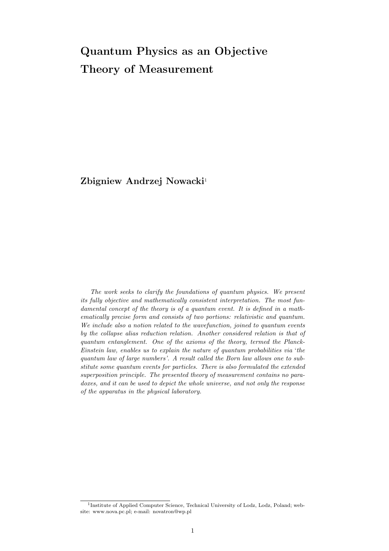# Quantum Physics as an Objective Theory of Measurement

Zbigniew Andrzej Nowacki<sup>1</sup>

The work seeks to clarify the foundations of quantum physics. We present its fully objective and mathematically consistent interpretation. The most fundamental concept of the theory is of a quantum event. It is defined in a mathematically precise form and consists of two portions: relativistic and quantum. We include also a notion related to the wavefunction, joined to quantum events by the collapse alias reduction relation. Another considered relation is that of quantum entanglement. One of the axioms of the theory, termed the Planck-Einstein law, enables us to explain the nature of quantum probabilities via 'the quantum law of large numbers'. A result called the Born law allows one to substitute some quantum events for particles. There is also formulated the extended superposition principle. The presented theory of measurement contains no paradoxes, and it can be used to depict the whole universe, and not only the response of the apparatus in the physical laboratory.

<sup>&</sup>lt;sup>1</sup>Institute of Applied Computer Science, Technical University of Lodz, Lodz, Poland; website: www.nova.pc.pl; e-mail: novatron@wp.pl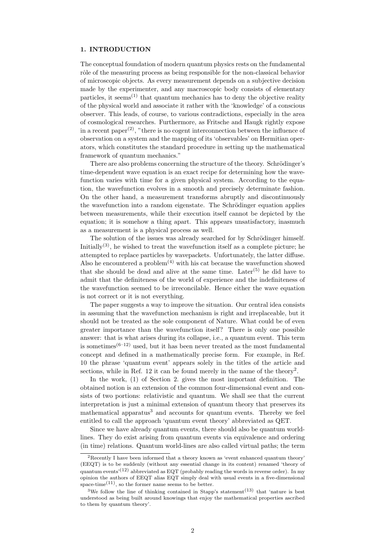# 1. INTRODUCTION

The conceptual foundation of modern quantum physics rests on the fundamental rôle of the measuring process as being responsible for the non-classical behavior of microscopic objects. As every measurement depends on a subjective decision made by the experimenter, and any macroscopic body consists of elementary particles, it seems<sup> $(1)$ </sup> that quantum mechanics has to deny the objective reality of the physical world and associate it rather with the 'knowledge' of a conscious observer. This leads, of course, to various contradictions, especially in the area of cosmological researches. Furthermore, as Fritsche and Haugk rightly expose in a recent paper<sup>(2)</sup>, "there is no cogent interconnection between the influence of observation on a system and the mapping of its 'observables' on Hermitian operators, which constitutes the standard procedure in setting up the mathematical framework of quantum mechanics."

There are also problems concerning the structure of the theory. Schrödinger's time-dependent wave equation is an exact recipe for determining how the wavefunction varies with time for a given physical system. According to the equation, the wavefunction evolves in a smooth and precisely determinate fashion. On the other hand, a measurement transforms abruptly and discontinuously the wavefunction into a random eigenstate. The Schrödinger equation applies between measurements, while their execution itself cannot be depicted by the equation; it is somehow a thing apart. This appears unsatisfactory, inasmuch as a measurement is a physical process as well.

The solution of the issues was already searched for by Schrödinger himself. Initially<sup>(3)</sup>, he wished to treat the wavefunction itself as a complete picture; he attempted to replace particles by wavepackets. Unfortunately, the latter diffuse. Also he encountered a problem<sup>(4)</sup> with his cat because the wavefunction showed that she should be dead and alive at the same time. Later<sup>(5)</sup> he did have to admit that the definiteness of the world of experience and the indefiniteness of the wavefunction seemed to be irreconcilable. Hence either the wave equation is not correct or it is not everything.

The paper suggests a way to improve the situation. Our central idea consists in assuming that the wavefunction mechanism is right and irreplaceable, but it should not be treated as the sole component of Nature. What could be of even greater importance than the wavefunction itself? There is only one possible answer: that is what arises during its collapse, i.e., a quantum event. This term is sometimes<sup> $(6-12)$ </sup> used, but it has been never treated as the most fundamental concept and defined in a mathematically precise form. For example, in Ref. 10 the phrase 'quantum event' appears solely in the titles of the article and sections, while in Ref. 12 it can be found merely in the name of the theory<sup>2</sup>.

In the work, (1) of Section 2. gives the most important definition. The obtained notion is an extension of the common four-dimensional event and consists of two portions: relativistic and quantum. We shall see that the current interpretation is just a minimal extension of quantum theory that preserves its mathematical apparatus<sup>3</sup> and accounts for quantum events. Thereby we feel entitled to call the approach 'quantum event theory' abbreviated as QET.

Since we have already quantum events, there should also be quantum worldlines. They do exist arising from quantum events via equivalence and ordering (in time) relations. Quantum world-lines are also called virtual paths; the term

<sup>&</sup>lt;sup>2</sup>Recently I have been informed that a theory known as 'event enhanced quantum theory' (EEQT) is to be suddenly (without any essential change in its content) renamed 'theory of quantum events<sup> $(12)$ </sup> abbreviated as EQT (probably reading the words in reverse order). In my opinion the authors of EEQT alias EQT simply deal with usual events in a five-dimensional space-time<sup>(11)</sup>, so the former name seems to be better.

<sup>&</sup>lt;sup>3</sup>We follow the line of thinking contained in Stapp's statement<sup>(13)</sup> that 'nature is best understood as being built around knowings that enjoy the mathematical properties ascribed to them by quantum theory'.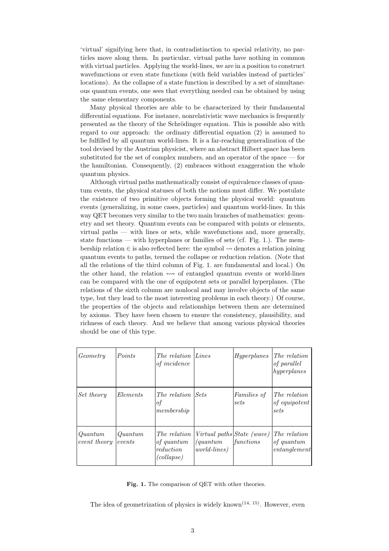'virtual' signifying here that, in contradistinction to special relativity, no particles move along them. In particular, virtual paths have nothing in common with virtual particles. Applying the world-lines, we are in a position to construct wavefunctions or even state functions (with field variables instead of particles' locations). As the collapse of a state function is described by a set of simultaneous quantum events, one sees that everything needed can be obtained by using the same elementary components.

Many physical theories are able to be characterized by their fundamental differential equations. For instance, nonrelativistic wave mechanics is frequently presented as the theory of the Schrödinger equation. This is possible also with regard to our approach: the ordinary differential equation (2) is assumed to be fulfilled by all quantum world-lines. It is a far-reaching generalization of the tool devised by the Austrian physicist, where an abstract Hilbert space has been substituted for the set of complex numbers, and an operator of the space — for the hamiltonian. Consequently, (2) embraces without exaggeration the whole quantum physics.

Although virtual paths mathematically consist of equivalence classes of quantum events, the physical statuses of both the notions must differ. We postulate the existence of two primitive objects forming the physical world: quantum events (generalizing, in some cases, particles) and quantum world-lines. In this way QET becomes very similar to the two main branches of mathematics: geometry and set theory. Quantum events can be compared with points or elements, virtual paths — with lines or sets, while wavefunctions and, more generally, state functions — with hyperplanes or families of sets (cf. Fig. 1.). The membership relation  $\in$  is also reflected here: the symbol  $\rightsquigarrow$  denotes a relation joining quantum events to paths, termed the collapse or reduction relation. (Note that all the relations of the third column of Fig. 1. are fundamental and local.) On the other hand, the relation  $\leftrightarrow$  of entangled quantum events or world-lines can be compared with the one of equipotent sets or parallel hyperplanes. (The relations of the sixth column are nonlocal and may involve objects of the same type, but they lead to the most interesting problems in each theory.) Of course, the properties of the objects and relationships between them are determined by axioms. They have been chosen to ensure the consistency, plausibility, and richness of each theory. And we believe that among various physical theories should be one of this type.

| Geometry                | Points            | The relation<br>of incidence                                 | Lines                                                                   | Hyperplanes            | The relation<br>of parallel<br>hyperplanes |
|-------------------------|-------------------|--------------------------------------------------------------|-------------------------------------------------------------------------|------------------------|--------------------------------------------|
| Set theory              | Elements          | The relation<br>οf<br> membership                            | Sets                                                                    | Families of<br>sets    | The relation<br>of equipotent<br>sets      |
| Quantum<br>event theory | Quantum<br>events | The relation<br><i>of quantum</i><br>reduction<br>(collapse) | Virtual paths State (wave)<br>$\eta$ and $\eta$<br><i>world-lines</i> ) | $\vert functions\vert$ | The relation<br>of quantum<br>entanglement |

Fig. 1. The comparison of QET with other theories.

The idea of geometrization of physics is widely known<sup> $(14, 15)$ </sup>. However, even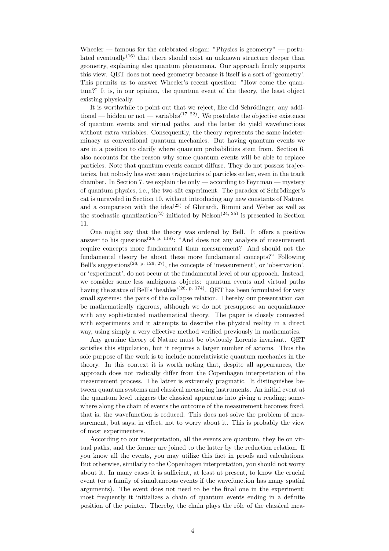Wheeler — famous for the celebrated slogan: "Physics is geometry" — postulated eventually<sup>(16)</sup> that there should exist an unknown structure deeper than geometry, explaining also quantum phenomena. Our approach firmly supports this view. QET does not need geometry because it itself is a sort of 'geometry'. This permits us to answer Wheeler's recent question: "How come the quantum?" It is, in our opinion, the quantum event of the theory, the least object existing physically.

It is worthwhile to point out that we reject, like did Schrödinger, any additional — hidden or not — variables<sup>(17–22)</sup>. We postulate the objective existence of quantum events and virtual paths, and the latter do yield wavefunctions without extra variables. Consequently, the theory represents the same indeterminacy as conventional quantum mechanics. But having quantum events we are in a position to clarify where quantum probabilities stem from. Section 6. also accounts for the reason why some quantum events will be able to replace particles. Note that quantum events cannot diffuse. They do not possess trajectories, but nobody has ever seen trajectories of particles either, even in the track chamber. In Section 7. we explain the only — according to Feynman — mystery of quantum physics, i.e., the two-slit experiment. The paradox of Schrödinger's cat is unraveled in Section 10. without introducing any new constants of Nature, and a comparison with the idea<sup>(23)</sup> of Ghirardi, Rimini and Weber as well as the stochastic quantization<sup>(2)</sup> initiated by Nelson<sup>(24, 25)</sup> is presented in Section 11.

One might say that the theory was ordered by Bell. It offers a positive answer to his questions<sup>(26, p. 118)</sup>: "And does not any analysis of measurement require concepts more fundamental than measurement? And should not the fundamental theory be about these more fundamental concepts?" Following Bell's suggestions<sup> $(26, p. 126, 27)$ </sup>, the concepts of 'measurement', or 'observation', or 'experiment', do not occur at the fundamental level of our approach. Instead, we consider some less ambiguous objects: quantum events and virtual paths having the status of Bell's 'beables'<sup>(26, p. 174)</sup>. QET has been formulated for very small systems: the pairs of the collapse relation. Thereby our presentation can be mathematically rigorous, although we do not presuppose an acquaintance with any sophisticated mathematical theory. The paper is closely connected with experiments and it attempts to describe the physical reality in a direct way, using simply a very effective method verified previously in mathematics.

Any genuine theory of Nature must be obviously Lorentz invariant. QET satisfies this stipulation, but it requires a larger number of axioms. Thus the sole purpose of the work is to include nonrelativistic quantum mechanics in the theory. In this context it is worth noting that, despite all appearances, the approach does not radically differ from the Copenhagen interpretation of the measurement process. The latter is extremely pragmatic. It distinguishes between quantum systems and classical measuring instruments. An initial event at the quantum level triggers the classical apparatus into giving a reading; somewhere along the chain of events the outcome of the measurement becomes fixed, that is, the wavefunction is reduced. This does not solve the problem of measurement, but says, in effect, not to worry about it. This is probably the view of most experimenters.

According to our interpretation, all the events are quantum, they lie on virtual paths, and the former are joined to the latter by the reduction relation. If you know all the events, you may utilize this fact in proofs and calculations. But otherwise, similarly to the Copenhagen interpretation, you should not worry about it. In many cases it is sufficient, at least at present, to know the crucial event (or a family of simultaneous events if the wavefunction has many spatial arguments). The event does not need to be the final one in the experiment; most frequently it initializes a chain of quantum events ending in a definite position of the pointer. Thereby, the chain plays the rôle of the classical mea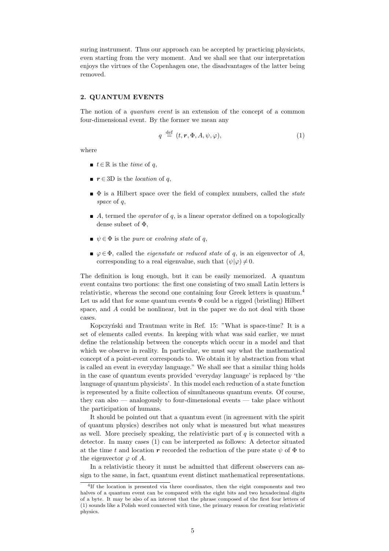suring instrument. Thus our approach can be accepted by practicing physicists, even starting from the very moment. And we shall see that our interpretation enjoys the virtues of the Copenhagen one, the disadvantages of the latter being removed.

#### 2. QUANTUM EVENTS

The notion of a *quantum event* is an extension of the concept of a common four-dimensional event. By the former we mean any

$$
q \stackrel{\text{def}}{=} (t, \mathbf{r}, \Phi, A, \psi, \varphi), \tag{1}
$$

where

- $t \in \mathbb{R}$  is the *time* of q,
- **r**  $r \in 3D$  is the *location* of q,
- $\bullet$  is a Hilbert space over the field of complex numbers, called the *state* space of q,
- $\blacksquare$  A, termed the *operator* of q, is a linear operator defined on a topologically dense subset of Φ,
- $\blacktriangleright \psi \in \Phi$  is the *pure* or *evolving state* of q,
- $\bullet \varphi \in \Phi$ , called the *eigenstate* or *reduced state* of q, is an eigenvector of A, corresponding to a real eigenvalue, such that  $(\psi|\varphi) \neq 0$ .

The definition is long enough, but it can be easily memorized. A quantum event contains two portions: the first one consisting of two small Latin letters is relativistic, whereas the second one containing four Greek letters is quantum.<sup>4</sup> Let us add that for some quantum events  $\Phi$  could be a rigged (bristling) Hilbert space, and A could be nonlinear, but in the paper we do not deal with those cases.

Kopczyński and Trautman write in Ref. 15: "What is space-time? It is a set of elements called events. In keeping with what was said earlier, we must define the relationship between the concepts which occur in a model and that which we observe in reality. In particular, we must say what the mathematical concept of a point-event corresponds to. We obtain it by abstraction from what is called an event in everyday language." We shall see that a similar thing holds in the case of quantum events provided 'everyday language' is replaced by 'the language of quantum physicists'. In this model each reduction of a state function is represented by a finite collection of simultaneous quantum events. Of course, they can also — analogously to four-dimensional events — take place without the participation of humans.

It should be pointed out that a quantum event (in agreement with the spirit of quantum physics) describes not only what is measured but what measures as well. More precisely speaking, the relativistic part of  $q$  is connected with a detector. In many cases (1) can be interpreted as follows: A detector situated at the time t and location r recorded the reduction of the pure state  $\psi$  of  $\Phi$  to the eigenvector  $\varphi$  of A.

In a relativistic theory it must be admitted that different observers can assign to the same, in fact, quantum event distinct mathematical representations.

<sup>4</sup> If the location is presented via three coordinates, then the eight components and two halves of a quantum event can be compared with the eight bits and two hexadecimal digits of a byte. It may be also of an interest that the phrase composed of the first four letters of (1) sounds like a Polish word connected with time, the primary reason for creating relativistic physics.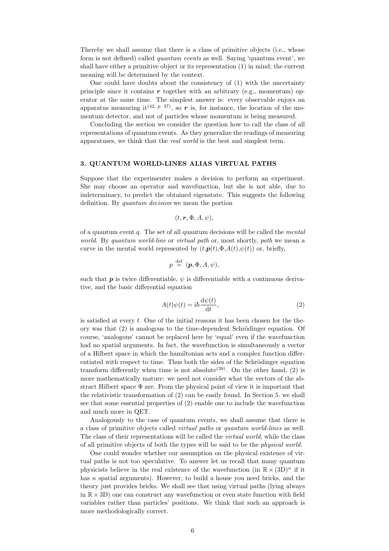Thereby we shall assume that there is a class of primitive objects (i.e., whose form is not defined) called *quantum events* as well. Saying 'quantum event', we shall have either a primitive object or its representation (1) in mind; the current meaning will be determined by the context.

One could have doubts about the consistency of (1) with the uncertainty principle since it contains  $\boldsymbol{r}$  together with an arbitrary (e.g., momentum) operator at the same time. The simplest answer is: every observable enjoys an apparatus measuring it<sup>(42, p. 37)</sup>, so r is, for instance, the location of the momentum detector, and not of particles whose momentum is being measured.

Concluding the section we consider the question how to call the class of all representations of quantum events. As they generalize the readings of measuring apparatuses, we think that the real world is the best and simplest term.

# 3. QUANTUM WORLD-LINES ALIAS VIRTUAL PATHS

Suppose that the experimenter makes a decision to perform an experiment. She may choose an operator and wavefunction, but she is not able, due to indeterminacy, to predict the obtained eigenstate. This suggests the following definition. By quantum decision we mean the portion

$$
(t,\bm{r},\Phi,A,\psi),
$$

of a quantum event  $q$ . The set of all quantum decisions will be called the *mental* world. By quantum world-line or virtual path or, most shortly, path we mean a curve in the mental world represented by  $(t, p(t), \Phi, A(t), \psi(t))$  or, briefly,

$$
p \stackrel{\text{def}}{=} ({\bm{p}}, \Phi, A, \psi),
$$

such that **p** is twice differentiable,  $\psi$  is differentiable with a continuous derivative, and the basic differential equation

$$
A(t)\psi(t) = i\hbar \frac{\mathrm{d}\psi(t)}{\mathrm{d}t},\tag{2}
$$

is satisfied at every  $t$ . One of the initial reasons it has been chosen for the theory was that  $(2)$  is analogous to the time-dependent Schrödinger equation. Of course, 'analogous' cannot be replaced here by 'equal' even if the wavefunction had no spatial arguments. In fact, the wavefunction is simultaneously a vector of a Hilbert space in which the hamiltonian acts and a complex function differentiated with respect to time. Thus both the sides of the Schrödinger equation transform differently when time is not absolute<sup>(28)</sup>. On the other hand, (2) is more mathematically mature: we need not consider what the vectors of the abstract Hilbert space  $\Phi$  are. From the physical point of view it is important that the relativistic transformation of (2) can be easily found. In Section 5. we shall see that some essential properties of (2) enable one to include the wavefunction and much more in QET.

Analogously to the case of quantum events, we shall assume that there is a class of primitive objects called virtual paths or quantum world-lines as well. The class of their representations will be called the *virtual world*, while the class of all primitive objects of both the types will be said to be the physical world.

One could wonder whether our assumption on the physical existence of virtual paths is not too speculative. To answer let us recall that many quantum physicists believe in the real existence of the wavefunction (in  $\mathbb{R} \times (3D)^n$  if it has *n* spatial arguments). However, to build a house you need bricks, and the theory just provides bricks. We shall see that using virtual paths (lying always in  $\mathbb{R} \times 3D$ ) one can construct any wavefunction or even state function with field variables rather than particles' positions. We think that such an approach is more methodologically correct.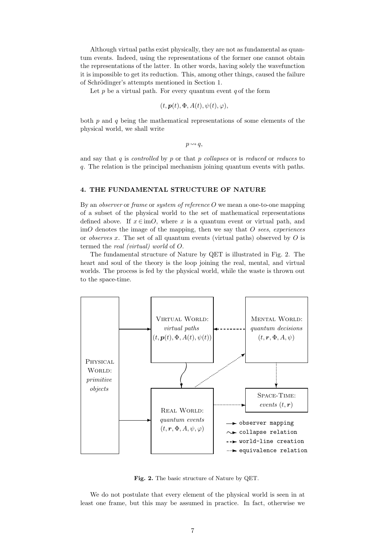Although virtual paths exist physically, they are not as fundamental as quantum events. Indeed, using the representations of the former one cannot obtain the representations of the latter. In other words, having solely the wavefunction it is impossible to get its reduction. This, among other things, caused the failure of Schrödinger's attempts mentioned in Section 1.

Let p be a virtual path. For every quantum event  $q$  of the form

$$
(t, \mathbf{p}(t), \Phi, A(t), \psi(t), \varphi),
$$

both  $p$  and  $q$  being the mathematical representations of some elements of the physical world, we shall write

 $p \rightsquigarrow q$ ,

and say that  $q$  is *controlled* by  $p$  or that  $p$  *collapses* or is *reduced* or *reduces* to q. The relation is the principal mechanism joining quantum events with paths.

# 4. THE FUNDAMENTAL STRUCTURE OF NATURE

By an *observer* or *frame* or *system of reference O* we mean a one-to-one mapping of a subset of the physical world to the set of mathematical representations defined above. If  $x \in \text{im}O$ , where x is a quantum event or virtual path, and  $\text{im}O$  denotes the image of the mapping, then we say that O sees, experiences or *observes* x. The set of all quantum events (virtual paths) observed by  $O$  is termed the real (virtual) world of O.

The fundamental structure of Nature by QET is illustrated in Fig. 2. The heart and soul of the theory is the loop joining the real, mental, and virtual worlds. The process is fed by the physical world, while the waste is thrown out to the space-time.



Fig. 2. The basic structure of Nature by QET.

We do not postulate that every element of the physical world is seen in at least one frame, but this may be assumed in practice. In fact, otherwise we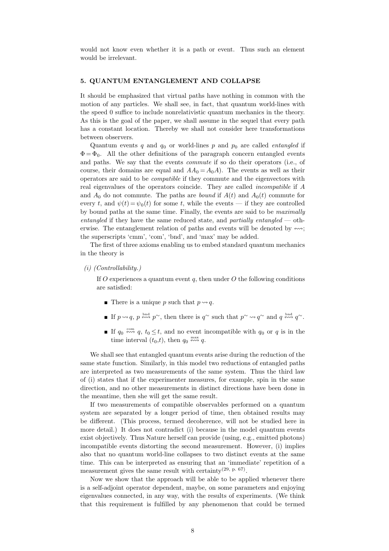would not know even whether it is a path or event. Thus such an element would be irrelevant.

#### 5. QUANTUM ENTANGLEMENT AND COLLAPSE

It should be emphasized that virtual paths have nothing in common with the motion of any particles. We shall see, in fact, that quantum world-lines with the speed 0 suffice to include nonrelativistic quantum mechanics in the theory. As this is the goal of the paper, we shall assume in the sequel that every path has a constant location. Thereby we shall not consider here transformations between observers.

Quantum events q and  $q_0$  or world-lines p and  $p_0$  are called *entangled* if  $\Phi = \Phi_0$ . All the other definitions of the paragraph concern entangled events and paths. We say that the events commute if so do their operators (i.e., of course, their domains are equal and  $AA_0 = A_0A$ . The events as well as their operators are said to be compatible if they commute and the eigenvectors with real eigenvalues of the operators coincide. They are called incompatible if A and  $A_0$  do not commute. The paths are *bound* if  $A(t)$  and  $A_0(t)$  commute for every t, and  $\psi(t) = \psi_0(t)$  for some t, while the events — if they are controlled by bound paths at the same time. Finally, the events are said to be maximally entangled if they have the same reduced state, and partially entangled  $-$  otherwise. The entanglement relation of paths and events will be denoted by  $\leftrightarrow$ ; the superscripts 'cmm', 'com', 'bnd', and 'max' may be added.

The first of three axioms enabling us to embed standard quantum mechanics in the theory is

(i) (Controllability.)

If O experiences a quantum event q, then under O the following conditions are satisfied:

- **There** is a unique p such that  $p \rightsquigarrow q$ .
- **If**  $p \rightsquigarrow q$ ,  $p \stackrel{\text{bnd}}{\sim} p^{\sim}$ , then there is  $q^{\sim}$  such that  $p^{\sim} \rightsquigarrow q^{\sim}$  and  $q \stackrel{\text{bnd}}{\sim} q^{\sim}$ .
- If  $q_0 \stackrel{\text{com}}{\nleftrightarrow} q$ ,  $t_0 \leq t$ , and no event incompatible with  $q_0$  or q is in the time interval  $(t_0,t)$ , then  $q_0 \stackrel{\text{max}}{\leftrightarrow} q$ .

We shall see that entangled quantum events arise during the reduction of the same state function. Similarly, in this model two reductions of entangled paths are interpreted as two measurements of the same system. Thus the third law of (i) states that if the experimenter measures, for example, spin in the same direction, and no other measurements in distinct directions have been done in the meantime, then she will get the same result.

If two measurements of compatible observables performed on a quantum system are separated by a longer period of time, then obtained results may be different. (This process, termed decoherence, will not be studied here in more detail.) It does not contradict (i) because in the model quantum events exist objectively. Thus Nature herself can provide (using, e.g., emitted photons) incompatible events distorting the second measurement. However, (i) implies also that no quantum world-line collapses to two distinct events at the same time. This can be interpreted as ensuring that an 'immediate' repetition of a measurement gives the same result with certainty<sup>(29, p. 67)</sup>.

Now we show that the approach will be able to be applied whenever there is a self-adjoint operator dependent, maybe, on some parameters and enjoying eigenvalues connected, in any way, with the results of experiments. (We think that this requirement is fulfilled by any phenomenon that could be termed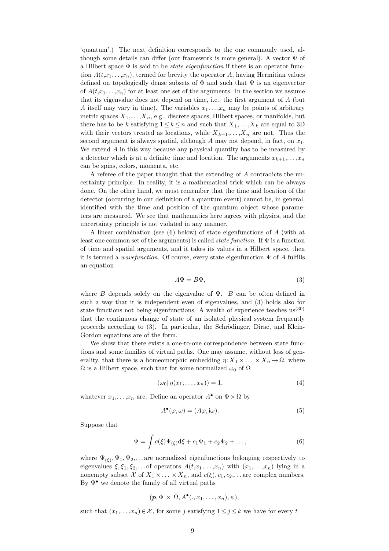'quantum'.) The next definition corresponds to the one commonly used, although some details can differ (our framework is more general). A vector  $\Psi$  of a Hilbert space  $\Phi$  is said to be *state eigenfunction* if there is an operator function  $A(t, x_1, \ldots, x_n)$ , termed for brevity the operator A, having Hermitian values defined on topologically dense subsets of  $\Phi$  and such that  $\Psi$  is an eigenvector of  $A(t, x_1, \ldots, x_n)$  for at least one set of the arguments. In the section we assume that its eigenvalue does not depend on time, i.e., the first argument of A (but A itself may vary in time). The variables  $x_1, \ldots, x_n$  may be points of arbitrary metric spaces  $X_1, \ldots, X_n$ , e.g., discrete spaces, Hilbert spaces, or manifolds, but there has to be k satisfying  $1 \leq k \leq n$  and such that  $X_1, \ldots, X_k$  are equal to 3D with their vectors treated as locations, while  $X_{k+1},..., X_n$  are not. Thus the second argument is always spatial, although A may not depend, in fact, on  $x_1$ . We extend  $A$  in this way because any physical quantity has to be measured by a detector which is at a definite time and location. The arguments  $x_{k+1}, \ldots, x_n$ can be spins, colors, momenta, etc.

A referee of the paper thought that the extending of A contradicts the uncertainty principle. In reality, it is a mathematical trick which can be always done. On the other hand, we must remember that the time and location of the detector (occurring in our definition of a quantum event) cannot be, in general, identified with the time and position of the quantum object whose parameters are measured. We see that mathematics here agrees with physics, and the uncertainty principle is not violated in any manner.

A linear combination (see (6) below) of state eigenfunctions of A (with at least one common set of the arguments) is called *state function*. If  $\Psi$  is a function of time and spatial arguments, and it takes its values in a Hilbert space, then it is termed a *wavefunction*. Of course, every state eigenfunction  $\Psi$  of A fulfills an equation

$$
A\Psi = B\Psi,\tag{3}
$$

where B depends solely on the eigenvalue of  $\Psi$ . B can be often defined in such a way that it is independent even of eigenvalues, and (3) holds also for state functions not being eigenfunctions. A wealth of experience teaches  $us^{(30)}$ that the continuous change of state of an isolated physical system frequently proceeds according to  $(3)$ . In particular, the Schrödinger, Dirac, and Klein-Gordon equations are of the form.

We show that there exists a one-to-one correspondence between state functions and some families of virtual paths. One may assume, without loss of generality, that there is a homeomorphic embedding  $\eta: X_1 \times \ldots \times X_n \to \Omega$ , where  $\Omega$  is a Hilbert space, such that for some normalized  $\omega_0$  of  $\Omega$ 

$$
(\omega_0 | \eta(x_1, \dots, x_n)) = 1,\tag{4}
$$

whatever  $x_1, \ldots, x_n$  are. Define an operator  $A^{\bullet}$  on  $\Phi \times \Omega$  by

$$
A^{\bullet}(\varphi, \omega) = (A\varphi, i\omega). \tag{5}
$$

Suppose that

$$
\Psi = \int c(\xi) \Psi_{(\xi)} d\xi + c_1 \Psi_1 + c_2 \Psi_2 + ..., \qquad (6)
$$

where  $\Psi_{(\xi)}, \Psi_1, \Psi_2, \dots$  are normalized eigenfunctions belonging respectively to eigenvalues  $\xi, \xi_1, \xi_2, \ldots$  of operators  $A(t, x_1, \ldots, x_n)$  with  $(x_1, \ldots, x_n)$  lying in a nonempty subset X of  $X_1 \times \ldots \times X_n$ , and  $c(\xi), c_1, c_2, \ldots$  are complex numbers. By  $\Psi^{\bullet}$  we denote the family of all virtual paths

$$
(\boldsymbol{p},\Phi\times\Omega,A^{\bullet}(.,x_1,\ldots,x_n),\psi),
$$

such that  $(x_1,...,x_n) \in \mathcal{X}$ , for some j satisfying  $1 \leq j \leq k$  we have for every t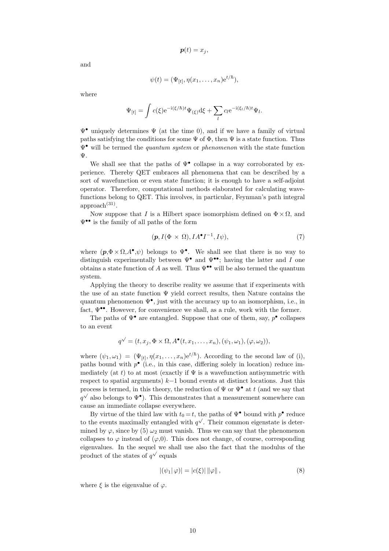$$
\boldsymbol{p}(t)=x_j,
$$

and

$$
\psi(t) = (\Psi_{[t]}, \eta(x_1, \dots, x_n) e^{t/\hbar}),
$$

where

$$
\Psi_{[t]} = \int c(\xi) e^{-i(\xi/\hbar)t} \Psi_{(\xi)} d\xi + \sum_l c_l e^{-i(\xi_l/\hbar)t} \Psi_l.
$$

 $\Psi^{\bullet}$  uniquely determines  $\Psi$  (at the time 0), and if we have a family of virtual paths satisfying the conditions for some  $\Psi$  of  $\Phi$ , then  $\Psi$  is a state function. Thus  $\Psi^{\bullet}$  will be termed the *quantum system* or *phenomenon* with the state function Ψ.

We shall see that the paths of  $\Psi^{\bullet}$  collapse in a way corroborated by experience. Thereby QET embraces all phenomena that can be described by a sort of wavefunction or even state function; it is enough to have a self-adjoint operator. Therefore, computational methods elaborated for calculating wavefunctions belong to QET. This involves, in particular, Feynman's path integral  $approach<sup>(31)</sup>$ .

Now suppose that I is a Hilbert space isomorphism defined on  $\Phi \times \Omega$ , and Ψ•• is the family of all paths of the form

$$
(\mathbf{p}, I(\Phi \times \Omega), IA^{\bullet} I^{-1}, I\psi), \tag{7}
$$

where  $(p, \Phi \times \Omega, A^{\bullet}, \psi)$  belongs to  $\Psi^{\bullet}$ . We shall see that there is no way to distinguish experimentally between  $\Psi^{\bullet}$  and  $\Psi^{\bullet\bullet}$ ; having the latter and I one obtains a state function of A as well. Thus  $\Psi^{\bullet\bullet}$  will be also termed the quantum system.

Applying the theory to describe reality we assume that if experiments with the use of an state function  $\Psi$  yield correct results, then Nature contains the quantum phenomenon  $\Psi^{\bullet}$ , just with the accuracy up to an isomorphism, i.e., in fact,  $\Psi^{\bullet\bullet}$ . However, for convenience we shall, as a rule, work with the former.

The paths of  $\Psi^{\bullet}$  are entangled. Suppose that one of them, say,  $p^{\bullet}$  collapses to an event

$$
q^{\checkmark} = (t, x_j, \Phi \times \Omega, A^{\bullet}(t, x_1, \dots, x_n), (\psi_1, \omega_1), (\varphi, \omega_2)),
$$

where  $(\psi_1, \omega_1) = (\Psi_{[t]}, \eta(x_1, \ldots, x_n)e^{t/\hbar})$ . According to the second law of (i), paths bound with  $p^{\bullet}$  (i.e., in this case, differing solely in location) reduce immediately (at t) to at most (exactly if  $\Psi$  is a wavefunction antisymmetric with respect to spatial arguments)  $k-1$  bound events at distinct locations. Just this process is termed, in this theory, the reduction of  $\Psi$  or  $\Psi^{\bullet}$  at t (and we say that  $q^{\sqrt{\ }}$  also belongs to  $\Psi^{\bullet}$ ). This demonstrates that a measurement somewhere can cause an immediate collapse everywhere.

By virtue of the third law with  $t_0 = t$ , the paths of  $\Psi^{\bullet}$  bound with  $p^{\bullet}$  reduce to the events maximally entangled with  $q^{\checkmark}$ . Their common eigenstate is determined by  $\varphi$ , since by (5)  $\omega_2$  must vanish. Thus we can say that the phenomenon collapses to  $\varphi$  instead of  $(\varphi,0)$ . This does not change, of course, corresponding eigenvalues. In the sequel we shall use also the fact that the modulus of the √ product of the states of  $q^{\checkmark}$  equals

$$
|(\psi_1|\varphi)| = |c(\xi)| \|\varphi\|,\tag{8}
$$

where  $\xi$  is the eigenvalue of  $\varphi$ .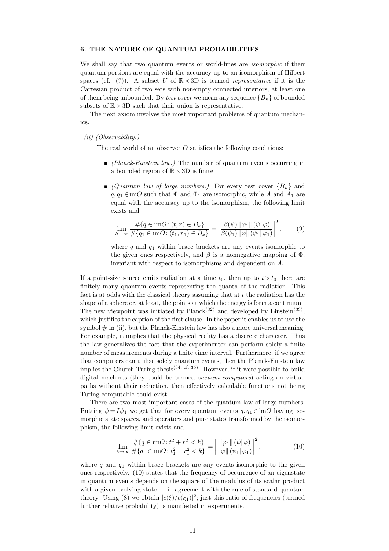#### 6. THE NATURE OF QUANTUM PROBABILITIES

We shall say that two quantum events or world-lines are *isomorphic* if their quantum portions are equal with the accuracy up to an isomorphism of Hilbert spaces (cf. (7)). A subset U of  $\mathbb{R} \times 3D$  is termed *representative* if it is the Cartesian product of two sets with nonempty connected interiors, at least one of them being unbounded. By test cover we mean any sequence  ${B_k}$  of bounded subsets of  $\mathbb{R} \times 3D$  such that their union is representative.

The next axiom involves the most important problems of quantum mechanics.

(ii) (Observability.)

The real world of an observer  $O$  satisfies the following conditions:

- $\blacksquare$  (Planck-Einstein law.) The number of quantum events occurring in a bounded region of  $\mathbb{R} \times 3D$  is finite.
- $\Box$  (Quantum law of large numbers.) For every test cover  ${B_k}$  and  $q, q_1 \in \text{im}O$  such that  $\Phi$  and  $\Phi_1$  are isomorphic, while A and  $A_1$  are equal with the accuracy up to the isomorphism, the following limit exists and

$$
\lim_{k \to \infty} \frac{\#\{q \in \text{im}O : (t, \mathbf{r}) \in B_k\}}{\#\{q_1 \in \text{im}O : (t_1, \mathbf{r}_1) \in B_k\}} = \left| \frac{\beta(\psi) \|\varphi_1\|(\psi|\varphi)}{\beta(\psi_1) \|\varphi\|(\psi_1|\varphi_1)} \right|^2, \quad (9)
$$

where  $q$  and  $q_1$  within brace brackets are any events isomorphic to the given ones respectively, and  $\beta$  is a nonnegative mapping of  $\Phi$ , invariant with respect to isomorphisms and dependent on A.

If a point-size source emits radiation at a time  $t_0$ , then up to  $t > t_0$  there are finitely many quantum events representing the quanta of the radiation. This fact is at odds with the classical theory assuming that at  $t$  the radiation has the shape of a sphere or, at least, the points at which the energy is form a continuum. The new viewpoint was initiated by  $Planck<sup>(32)</sup>$  and developed by Einstein<sup>(33)</sup>, which justifies the caption of the first clause. In the paper it enables us to use the symbol  $\#$  in (ii), but the Planck-Einstein law has also a more universal meaning. For example, it implies that the physical reality has a discrete character. Thus the law generalizes the fact that the experimenter can perform solely a finite number of measurements during a finite time interval. Furthermore, if we agree that computers can utilize solely quantum events, then the Planck-Einstein law implies the Church-Turing thesis<sup>(34, cf. 35)</sup>. However, if it were possible to build digital machines (they could be termed vacuum computers) acting on virtual paths without their reduction, then effectively calculable functions not being Turing computable could exist.

There are two most important cases of the quantum law of large numbers. Putting  $\psi = I\psi_1$  we get that for every quantum events  $q, q_1 \in \text{im}O$  having isomorphic state spaces, and operators and pure states transformed by the isomorphism, the following limit exists and

$$
\lim_{k \to \infty} \frac{\#\{q \in \text{im}O : t^2 + r^2 < k\}}{\#\{q_1 \in \text{im}O : t_1^2 + r_1^2 < k\}} = \left| \frac{\|\varphi_1\|(\psi|\varphi)}{\|\varphi\|(\psi_1|\varphi_1)} \right|^2,\tag{10}
$$

where q and  $q_1$  within brace brackets are any events isomorphic to the given ones respectively. (10) states that the frequency of occurrence of an eigenstate in quantum events depends on the square of the modulus of its scalar product with a given evolving state  $\frac{1}{n}$  in agreement with the rule of standard quantum theory. Using (8) we obtain  $|c(\xi)/c(\xi_1)|^2$ ; just this ratio of frequencies (termed further relative probability) is manifested in experiments.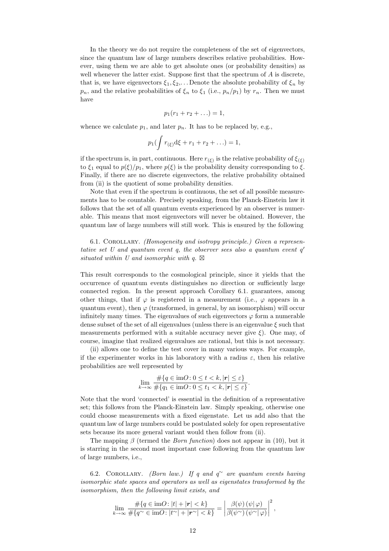In the theory we do not require the completeness of the set of eigenvectors, since the quantum law of large numbers describes relative probabilities. However, using them we are able to get absolute ones (or probability densities) as well whenever the latter exist. Suppose first that the spectrum of  $A$  is discrete, that is, we have eigenvectors  $\xi_1, \xi_2, \ldots$  Denote the absolute probability of  $\xi_n$  by  $p_n$ , and the relative probabilities of  $\xi_n$  to  $\xi_1$  (i.e.,  $p_n/p_1$ ) by  $r_n$ . Then we must have

$$
p_1(r_1 + r_2 + \ldots) = 1,
$$

whence we calculate  $p_1$ , and later  $p_n$ . It has to be replaced by, e.g.,

$$
p_1(\int r_{(\xi)}d\xi + r_1 + r_2 + \ldots) = 1,
$$

if the spectrum is, in part, continuous. Here  $r_{(\xi)}$  is the relative probability of  $\xi_{(\xi)}$ to  $\xi_1$  equal to  $p(\xi)/p_1$ , where  $p(\xi)$  is the probability density corresponding to  $\xi$ . Finally, if there are no discrete eigenvectors, the relative probability obtained from (ii) is the quotient of some probability densities.

Note that even if the spectrum is continuous, the set of all possible measurements has to be countable. Precisely speaking, from the Planck-Einstein law it follows that the set of all quantum events experienced by an observer is numerable. This means that most eigenvectors will never be obtained. However, the quantum law of large numbers will still work. This is ensured by the following

6.1. Corollary. (Homogeneity and isotropy principle.) Given a representative set U and quantum event q, the observer sees also a quantum event  $q'$ situated within U and isomorphic with q.  $\boxtimes$ 

This result corresponds to the cosmological principle, since it yields that the occurrence of quantum events distinguishes no direction or sufficiently large connected region. In the present approach Corollary 6.1. guarantees, among other things, that if  $\varphi$  is registered in a measurement (i.e.,  $\varphi$  appears in a quantum event), then  $\varphi$  (transformed, in general, by an isomorphism) will occur infinitely many times. The eigenvalues of such eigenvectors  $\varphi$  form a numerable dense subset of the set of all eigenvalues (unless there is an eigenvalue  $\xi$  such that measurements performed with a suitable accuracy never give  $\xi$ ). One may, of course, imagine that realized eigenvalues are rational, but this is not necessary.

(ii) allows one to define the test cover in many various ways. For example, if the experimenter works in his laboratory with a radius  $\varepsilon$ , then his relative probabilities are well represented by

$$
\lim_{k \to \infty} \frac{\#\{q \in \text{im}O : 0 \le t < k, |\mathbf{r}| \le \varepsilon\}}{\#\{q_1 \in \text{im}O : 0 \le t_1 < k, |\mathbf{r}| \le \varepsilon\}}.
$$

Note that the word 'connected' is essential in the definition of a representative set; this follows from the Planck-Einstein law. Simply speaking, otherwise one could choose measurements with a fixed eigenstate. Let us add also that the quantum law of large numbers could be postulated solely for open representative sets because its more general variant would then follow from (ii).

The mapping  $\beta$  (termed the *Born function*) does not appear in (10), but it is starring in the second most important case following from the quantum law of large numbers, i.e.,

6.2. COROLLARY. (Born law.) If q and  $q^{\sim}$  are quantum events having isomorphic state spaces and operators as well as eigenstates transformed by the isomorphism, then the following limit exists, and

$$
\lim_{k \to \infty} \frac{\#\{q \in \text{im}O \colon |t| + |\mathbf{r}| < k\}}{\#\{q^{\sim} \in \text{im}O \colon |t^{\sim}| + |\mathbf{r}^{\sim}| < k\}} = \left| \frac{\beta(\psi) \left(\psi | \varphi\right)}{\beta(\psi^{\sim}) \left(\psi^{\sim} | \varphi\right)} \right|^2,
$$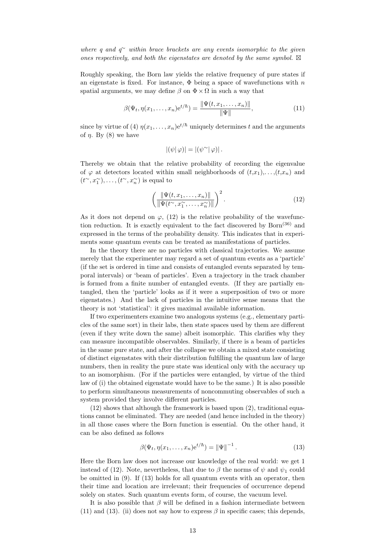where q and  $q^{\sim}$  within brace brackets are any events isomorphic to the qiven ones respectively, and both the eigenstates are denoted by the same symbol.  $\boxtimes$ 

Roughly speaking, the Born law yields the relative frequency of pure states if an eigenstate is fixed. For instance,  $\Phi$  being a space of wavefunctions with n spatial arguments, we may define  $\beta$  on  $\Phi \times \Omega$  in such a way that

$$
\beta(\Psi_t, \eta(x_1, \dots, x_n) e^{t/\hbar}) = \frac{\|\Psi(t, x_1, \dots, x_n)\|}{\|\Psi\|},
$$
\n(11)

since by virtue of (4)  $\eta(x_1,\ldots,x_n)e^{t/\hbar}$  uniquely determines t and the arguments of  $\eta$ . By (8) we have

$$
|(\psi | \varphi)| = |(\psi^{\sim} | \varphi)|.
$$

Thereby we obtain that the relative probability of recording the eigenvalue of  $\varphi$  at detectors located within small neighborhoods of  $(t,x_1),\ldots,(t,x_n)$  and  $(t^{\sim}, x_1^{\sim}), \ldots, (t^{\sim}, x_n^{\sim})$  is equal to

$$
\left(\frac{\|\Psi(t, x_1, \dots, x_n)\|}{\|\Psi(t^{\sim}, x_1^{\sim}, \dots, x_n^{\sim})\|}\right)^2.
$$
\n(12)

As it does not depend on  $\varphi$ , (12) is the relative probability of the wavefunction reduction. It is exactly equivalent to the fact discovered by  $Born^{(36)}$  and expressed in the terms of the probability density. This indicates that in experiments some quantum events can be treated as manifestations of particles.

In the theory there are no particles with classical trajectories. We assume merely that the experimenter may regard a set of quantum events as a 'particle' (if the set is ordered in time and consists of entangled events separated by temporal intervals) or 'beam of particles'. Even a trajectory in the track chamber is formed from a finite number of entangled events. (If they are partially entangled, then the 'particle' looks as if it were a superposition of two or more eigenstates.) And the lack of particles in the intuitive sense means that the theory is not 'statistical': it gives maximal available information.

If two experimenters examine two analogous systems (e.g., elementary particles of the same sort) in their labs, then state spaces used by them are different (even if they write down the same) albeit isomorphic. This clarifies why they can measure incompatible observables. Similarly, if there is a beam of particles in the same pure state, and after the collapse we obtain a mixed state consisting of distinct eigenstates with their distribution fulfilling the quantum law of large numbers, then in reality the pure state was identical only with the accuracy up to an isomorphism. (For if the particles were entangled, by virtue of the third law of (i) the obtained eigenstate would have to be the same.) It is also possible to perform simultaneous measurements of noncommuting observables of such a system provided they involve different particles.

(12) shows that although the framework is based upon (2), traditional equations cannot be eliminated. They are needed (and hence included in the theory) in all those cases where the Born function is essential. On the other hand, it can be also defined as follows

$$
\beta(\Psi_t, \eta(x_1, \dots, x_n) e^{t/\hbar}) = ||\Psi||^{-1}.
$$
\n(13)

Here the Born law does not increase our knowledge of the real world: we get 1 instead of (12). Note, nevertheless, that due to  $\beta$  the norms of  $\psi$  and  $\psi_1$  could be omitted in (9). If (13) holds for all quantum events with an operator, then their time and location are irrelevant; their frequencies of occurrence depend solely on states. Such quantum events form, of course, the vacuum level.

It is also possible that  $\beta$  will be defined in a fashion intermediate between (11) and (13). (ii) does not say how to express  $\beta$  in specific cases; this depends,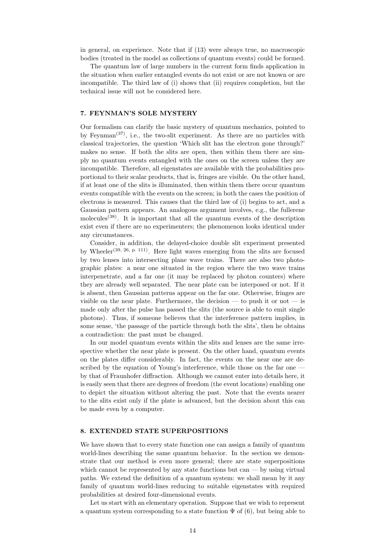in general, on experience. Note that if (13) were always true, no macroscopic bodies (treated in the model as collections of quantum events) could be formed.

The quantum law of large numbers in the current form finds application in the situation when earlier entangled events do not exist or are not known or are incompatible. The third law of (i) shows that (ii) requires completion, but the technical issue will not be considered here.

# 7. FEYNMAN'S SOLE MYSTERY

Our formalism can clarify the basic mystery of quantum mechanics, pointed to by Feynman<sup> $(37)$ </sup>, i.e., the two-slit experiment. As there are no particles with classical trajectories, the question 'Which slit has the electron gone through?' makes no sense. If both the slits are open, then within them there are simply no quantum events entangled with the ones on the screen unless they are incompatible. Therefore, all eigenstates are available with the probabilities proportional to their scalar products, that is, fringes are visible. On the other hand, if at least one of the slits is illuminated, then within them there occur quantum events compatible with the events on the screen; in both the cases the position of electrons is measured. This causes that the third law of (i) begins to act, and a Gaussian pattern appears. An analogous argument involves, e.g., the fullerene molecules<sup> $(38)$ </sup>. It is important that all the quantum events of the description exist even if there are no experimenters; the phenomenon looks identical under any circumstances.

Consider, in addition, the delayed-choice double slit experiment presented by Wheeler<sup>(39, 26, p. 111)</sup>. Here light waves emerging from the slits are focused by two lenses into intersecting plane wave trains. There are also two photographic plates: a near one situated in the region where the two wave trains interpenetrate, and a far one (it may be replaced by photon counters) where they are already well separated. The near plate can be interposed or not. If it is absent, then Gaussian patterns appear on the far one. Otherwise, fringes are visible on the near plate. Furthermore, the decision  $-$  to push it or not  $-$  is made only after the pulse has passed the slits (the source is able to emit single photons). Thus, if someone believes that the interference pattern implies, in some sense, 'the passage of the particle through both the slits', then he obtains a contradiction: the past must be changed.

In our model quantum events within the slits and lenses are the same irrespective whether the near plate is present. On the other hand, quantum events on the plates differ considerably. In fact, the events on the near one are described by the equation of Young's interference, while those on the far one by that of Fraunhofer diffraction. Although we cannot enter into details here, it is easily seen that there are degrees of freedom (the event locations) enabling one to depict the situation without altering the past. Note that the events nearer to the slits exist only if the plate is advanced, but the decision about this can be made even by a computer.

#### 8. EXTENDED STATE SUPERPOSITIONS

We have shown that to every state function one can assign a family of quantum world-lines describing the same quantum behavior. In the section we demonstrate that our method is even more general; there are state superpositions which cannot be represented by any state functions but  $can - by$  using virtual paths. We extend the definition of a quantum system: we shall mean by it any family of quantum world-lines reducing to suitable eigenstates with required probabilities at desired four-dimensional events.

Let us start with an elementary operation. Suppose that we wish to represent a quantum system corresponding to a state function  $\Psi$  of (6), but being able to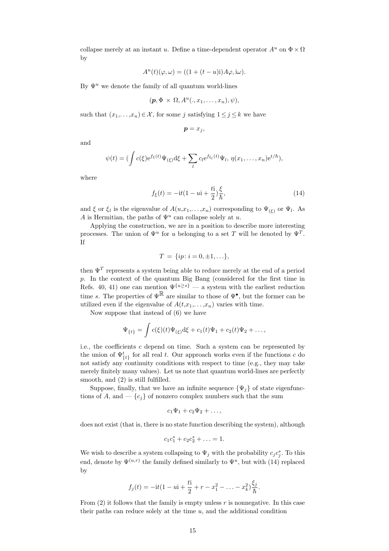collapse merely at an instant u. Define a time-dependent operator  $A^u$  on  $\Phi \times \Omega$ by

$$
A^{u}(t)(\varphi, \omega) = ((1 + (t - u)i)A\varphi, i\omega).
$$

By  $\Psi^u$  we denote the family of all quantum world-lines

$$
(\boldsymbol{p},\Phi \times \Omega, A^u(.,x_1,\ldots,x_n),\psi),
$$

such that  $(x_1, \ldots, x_n) \in \mathcal{X}$ , for some j satisfying  $1 \leq j \leq k$  we have

$$
\bm{p}=x_j,
$$

and

$$
\psi(t) = (\int c(\xi) e^{f_{\xi}(t)} \Psi_{(\xi)} d\xi + \sum_{l} c_l e^{f_{\xi_l}(t)} \Psi_l, \eta(x_1, \dots, x_n) e^{t/\hbar}),
$$

where

$$
f_{\xi}(t) = -\mathrm{i}t(1 - u\mathrm{i} + \frac{t\mathrm{i}}{2})\frac{\xi}{\hbar},\tag{14}
$$

and  $\xi$  or  $\xi_l$  is the eigenvalue of  $A(u,x_1,\ldots,x_n)$  corresponding to  $\Psi_{(\xi)}$  or  $\Psi_l$ . As A is Hermitian, the paths of  $\Psi^u$  can collapse solely at u.

Applying the construction, we are in a position to describe more interesting processes. The union of  $\Psi^u$  for u belonging to a set T will be denoted by  $\Psi^T$ . If

$$
T = \{ip \colon i = 0, \pm 1, \ldots\},\
$$

then  $\Psi^T$  represents a system being able to reduce merely at the end of a period p. In the context of the quantum Big Bang (considered for the first time in Refs. 40, 41) one can mention  $\Psi^{\{u\geq s\}}$  — a system with the earliest reduction time s. The properties of  $\Psi^{\mathbb{R}}$  are similar to those of  $\Psi^{\bullet}$ , but the former can be utilized even if the eigenvalue of  $A(t,x_1,\ldots,x_n)$  varies with time.

Now suppose that instead of (6) we have

$$
\Psi_{\{t\}} = \int c(\xi)(t)\Psi_{(\xi)}d\xi + c_1(t)\Psi_1 + c_2(t)\Psi_2 + \dots,
$$

i.e., the coefficients c depend on time. Such a system can be represented by the union of  $\Psi_{\{t\}}^t$  for all real t. Our approach works even if the functions c do not satisfy any continuity conditions with respect to time (e.g., they may take merely finitely many values). Let us note that quantum world-lines are perfectly smooth, and  $(2)$  is still fulfilled.

Suppose, finally, that we have an infinite sequence  $\{\Psi_i\}$  of state eigenfunctions of A, and  $-\{c_i\}$  of nonzero complex numbers such that the sum

$$
c_1\Psi_1+c_2\Psi_2+\ldots,
$$

does not exist (that is, there is no state function describing the system), although

$$
c_1c_1^* + c_2c_2^* + \ldots = 1.
$$

We wish to describe a system collapsing to  $\Psi_j$  with the probability  $c_j c_j^*$ . To this end, denote by  $\Psi^{(u,r)}$  the family defined similarly to  $\Psi^u$ , but with (14) replaced by

$$
f_j(t) = -it(1 - u_i) + \frac{ti}{2} + r - x_1^2 - \dots - x_k^2 \frac{\xi_j}{\hbar}.
$$

From  $(2)$  it follows that the family is empty unless r is nonnegative. In this case their paths can reduce solely at the time  $u$ , and the additional condition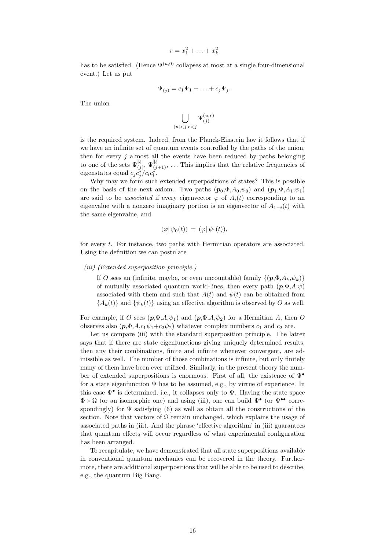$$
r = x_1^2 + \ldots + x_k^2
$$

has to be satisfied. (Hence  $\Psi^{(u,0)}$  collapses at most at a single four-dimensional event.) Let us put

$$
\Psi_{(j)} = c_1 \Psi_1 + \ldots + c_j \Psi_j.
$$

The union

$$
\bigcup_{|u|
$$

is the required system. Indeed, from the Planck-Einstein law it follows that if we have an infinite set of quantum events controlled by the paths of the union, then for every  $j$  almost all the events have been reduced by paths belonging to one of the sets  $\Psi^{\mathbb{R}}_{(j)}, \Psi^{\mathbb{R}}_{(j+1)}, \dots$  This implies that the relative frequencies of eigenstates equal  $c_j c_j^* / c_l c_l^*$ .

Why may we form such extended superpositions of states? This is possible on the basis of the next axiom. Two paths  $(p_0, \Phi, A_0, \psi_0)$  and  $(p_1, \Phi, A_1, \psi_1)$ are said to be *associated* if every eigenvector  $\varphi$  of  $A_i(t)$  corresponding to an eigenvalue with a nonzero imaginary portion is an eigenvector of  $A_{1-i}(t)$  with the same eigenvalue, and

$$
(\varphi|\,\psi_0(t))\,=\,(\varphi|\,\psi_1(t)),
$$

for every t. For instance, two paths with Hermitian operators are associated. Using the definition we can postulate

#### (iii) (Extended superposition principle.)

If O sees an (infinite, maybe, or even uncountable) family  $\{(\mathbf{p}, \Phi, A_k, \psi_k)\}$ of mutually associated quantum world-lines, then every path  $(p, \Phi, A, \psi)$ associated with them and such that  $A(t)$  and  $\psi(t)$  can be obtained from  ${A_k(t)}$  and  ${\psi_k(t)}$  using an effective algorithm is observed by O as well.

For example, if O sees  $(p, \Phi, A, \psi_1)$  and  $(p, \Phi, A, \psi_2)$  for a Hermitian A, then O observes also  $(p, \Phi, A, c_1\psi_1+c_2\psi_2)$  whatever complex numbers  $c_1$  and  $c_2$  are.

Let us compare (iii) with the standard superposition principle. The latter says that if there are state eigenfunctions giving uniquely determined results, then any their combinations, finite and infinite whenever convergent, are admissible as well. The number of those combinations is infinite, but only finitely many of them have been ever utilized. Similarly, in the present theory the number of extended superpositions is enormous. First of all, the existence of Ψ• for a state eigenfunction  $\Psi$  has to be assumed, e.g., by virtue of experience. In this case  $\Psi^{\bullet}$  is determined, i.e., it collapses only to  $\Psi$ . Having the state space  $\Phi \times \Omega$  (or an isomorphic one) and using (iii), one can build  $\Psi^{\bullet}$  (or  $\Psi^{\bullet\bullet}$  correspondingly) for  $\Psi$  satisfying (6) as well as obtain all the constructions of the section. Note that vectors of  $\Omega$  remain unchanged, which explains the usage of associated paths in (iii). And the phrase 'effective algorithm' in (iii) guarantees that quantum effects will occur regardless of what experimental configuration has been arranged.

To recapitulate, we have demonstrated that all state superpositions available in conventional quantum mechanics can be recovered in the theory. Furthermore, there are additional superpositions that will be able to be used to describe, e.g., the quantum Big Bang.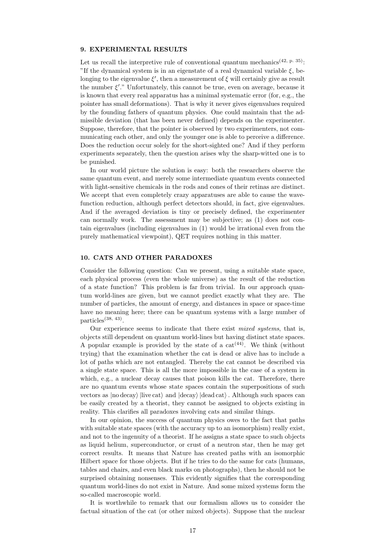#### 9. EXPERIMENTAL RESULTS

Let us recall the interpretive rule of conventional quantum mechanics<sup> $(42, p. 35)$ </sup>: "If the dynamical system is in an eigenstate of a real dynamical variable  $\xi$ , belonging to the eigenvalue  $\xi'$ , then a measurement of  $\xi$  will certainly give as result the number  $\xi$ "." Unfortunately, this cannot be true, even on average, because it is known that every real apparatus has a minimal systematic error (for, e.g., the pointer has small deformations). That is why it never gives eigenvalues required by the founding fathers of quantum physics. One could maintain that the admissible deviation (that has been never defined) depends on the experimenter. Suppose, therefore, that the pointer is observed by two experimenters, not communicating each other, and only the younger one is able to perceive a difference. Does the reduction occur solely for the short-sighted one? And if they perform experiments separately, then the question arises why the sharp-witted one is to be punished.

In our world picture the solution is easy: both the researchers observe the same quantum event, and merely some intermediate quantum events connected with light-sensitive chemicals in the rods and cones of their retinas are distinct. We accept that even completely crazy apparatuses are able to cause the wavefunction reduction, although perfect detectors should, in fact, give eigenvalues. And if the averaged deviation is tiny or precisely defined, the experimenter can normally work. The assessment may be subjective; as (1) does not contain eigenvalues (including eigenvalues in (1) would be irrational even from the purely mathematical viewpoint), QET requires nothing in this matter.

# 10. CATS AND OTHER PARADOXES

Consider the following question: Can we present, using a suitable state space, each physical process (even the whole universe) as the result of the reduction of a state function? This problem is far from trivial. In our approach quantum world-lines are given, but we cannot predict exactly what they are. The number of particles, the amount of energy, and distances in space or space-time have no meaning here; there can be quantum systems with a large number of particles(38, 43) .

Our experience seems to indicate that there exist *mixed systems*, that is, objects still dependent on quantum world-lines but having distinct state spaces. A popular example is provided by the state of a  $cat^{(44)}$ . We think (without trying) that the examination whether the cat is dead or alive has to include a lot of paths which are not entangled. Thereby the cat cannot be described via a single state space. This is all the more impossible in the case of a system in which, e.g., a nuclear decay causes that poison kills the cat. Therefore, there are no quantum events whose state spaces contain the superpositions of such vectors as  $|no \, decay \rangle$  |live cat $\rangle$  and  $|decay \rangle$  |dead cat $\rangle$ . Although such spaces can be easily created by a theorist, they cannot be assigned to objects existing in reality. This clarifies all paradoxes involving cats and similar things.

In our opinion, the success of quantum physics owes to the fact that paths with suitable state spaces (with the accuracy up to an isomorphism) really exist, and not to the ingenuity of a theorist. If he assigns a state space to such objects as liquid helium, superconductor, or crust of a neutron star, then he may get correct results. It means that Nature has created paths with an isomorphic Hilbert space for those objects. But if he tries to do the same for cats (humans, tables and chairs, and even black marks on photographs), then he should not be surprised obtaining nonsenses. This evidently signifies that the corresponding quantum world-lines do not exist in Nature. And some mixed systems form the so-called macroscopic world.

It is worthwhile to remark that our formalism allows us to consider the factual situation of the cat (or other mixed objects). Suppose that the nuclear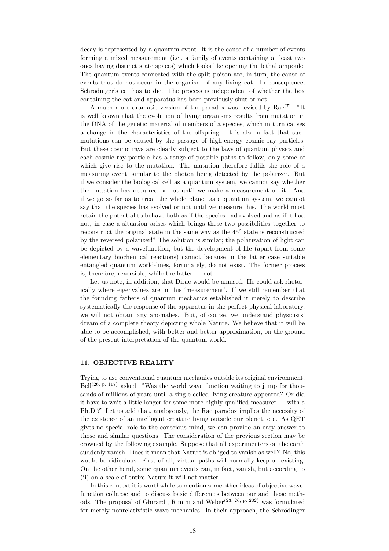decay is represented by a quantum event. It is the cause of a number of events forming a mixed measurement (i.e., a family of events containing at least two ones having distinct state spaces) which looks like opening the lethal ampoule. The quantum events connected with the spilt poison are, in turn, the cause of events that do not occur in the organism of any living cat. In consequence, Schrödinger's cat has to die. The process is independent of whether the box containing the cat and apparatus has been previously shut or not.

A much more dramatic version of the paradox was devised by  $\text{Rae}^{(7)}$ : "It is well known that the evolution of living organisms results from mutation in the DNA of the genetic material of members of a species, which in turn causes a change in the characteristics of the offspring. It is also a fact that such mutations can be caused by the passage of high-energy cosmic ray particles. But these cosmic rays are clearly subject to the laws of quantum physics and each cosmic ray particle has a range of possible paths to follow, only some of which give rise to the mutation. The mutation therefore fulfils the role of a measuring event, similar to the photon being detected by the polarizer. But if we consider the biological cell as a quantum system, we cannot say whether the mutation has occurred or not until we make a measurement on it. And if we go so far as to treat the whole planet as a quantum system, we cannot say that the species has evolved or not until we measure this. The world must retain the potential to behave both as if the species had evolved and as if it had not, in case a situation arises which brings these two possibilities together to reconstruct the original state in the same way as the 45◦ state is reconstructed by the reversed polarizer!" The solution is similar; the polarization of light can be depicted by a wavefunction, but the development of life (apart from some elementary biochemical reactions) cannot because in the latter case suitable entangled quantum world-lines, fortunately, do not exist. The former process is, therefore, reversible, while the latter  $-$  not.

Let us note, in addition, that Dirac would be amused. He could ask rhetorically where eigenvalues are in this 'measurement'. If we still remember that the founding fathers of quantum mechanics established it merely to describe systematically the response of the apparatus in the perfect physical laboratory, we will not obtain any anomalies. But, of course, we understand physicists' dream of a complete theory depicting whole Nature. We believe that it will be able to be accomplished, with better and better approximation, on the ground of the present interpretation of the quantum world.

# 11. OBJECTIVE REALITY

Trying to use conventional quantum mechanics outside its original environment,  $Bell^{(26, p. 117)}$  asked: "Was the world wave function waiting to jump for thousands of millions of years until a single-celled living creature appeared? Or did it have to wait a little longer for some more highly qualified measurer — with a Ph.D.?" Let us add that, analogously, the Rae paradox implies the necessity of the existence of an intelligent creature living outside our planet, etc. As QET gives no special rôle to the conscious mind, we can provide an easy answer to those and similar questions. The consideration of the previous section may be crowned by the following example. Suppose that all experimenters on the earth suddenly vanish. Does it mean that Nature is obliged to vanish as well? No, this would be ridiculous. First of all, virtual paths will normally keep on existing. On the other hand, some quantum events can, in fact, vanish, but according to (ii) on a scale of entire Nature it will not matter.

In this context it is worthwhile to mention some other ideas of objective wavefunction collapse and to discuss basic differences between our and those methods. The proposal of Ghirardi, Rimini and Weber<sup>(23, 26, p. 202)</sup> was formulated for merely nonrelativistic wave mechanics. In their approach, the Schrödinger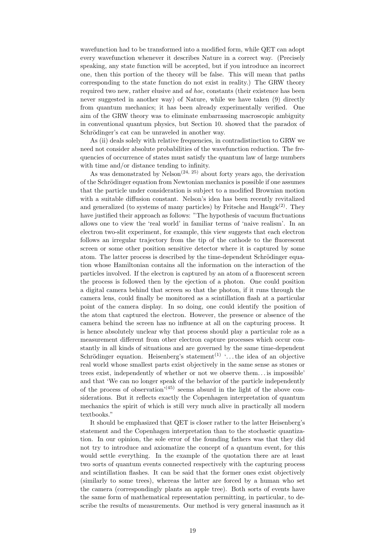wavefunction had to be transformed into a modified form, while QET can adopt every wavefunction whenever it describes Nature in a correct way. (Precisely speaking, any state function will be accepted, but if you introduce an incorrect one, then this portion of the theory will be false. This will mean that paths corresponding to the state function do not exist in reality.) The GRW theory required two new, rather elusive and *ad hoc*, constants (their existence has been never suggested in another way) of Nature, while we have taken (9) directly from quantum mechanics; it has been already experimentally verified. One aim of the GRW theory was to eliminate embarrassing macroscopic ambiguity in conventional quantum physics, but Section 10. showed that the paradox of Schrödinger's cat can be unraveled in another way.

As (ii) deals solely with relative frequencies, in contradistinction to GRW we need not consider absolute probabilities of the wavefunction reduction. The frequencies of occurrence of states must satisfy the quantum law of large numbers with time and/or distance tending to infinity.

As was demonstrated by  $Nelson^{(24, 25)}$  about forty years ago, the derivation of the Schrödinger equation from Newtonian mechanics is possible if one assumes that the particle under consideration is subject to a modified Brownian motion with a suitable diffusion constant. Nelson's idea has been recently revitalized and generalized (to systems of many particles) by Fritsche and  $\text{Haugk}^{(2)}$ . They have justified their approach as follows: "The hypothesis of vacuum fluctuations allows one to view the 'real world' in familiar terms of 'naive realism'. In an electron two-slit experiment, for example, this view suggests that each electron follows an irregular trajectory from the tip of the cathode to the fluorescent screen or some other position sensitive detector where it is captured by some atom. The latter process is described by the time-dependent Schrödinger equation whose Hamiltonian contains all the information on the interaction of the particles involved. If the electron is captured by an atom of a fluorescent screen the process is followed then by the ejection of a photon. One could position a digital camera behind that screen so that the photon, if it runs through the camera lens, could finally be monitored as a scintillation flash at a particular point of the camera display. In so doing, one could identify the position of the atom that captured the electron. However, the presence or absence of the camera behind the screen has no influence at all on the capturing process. It is hence absolutely unclear why that process should play a particular role as a measurement different from other electron capture processes which occur constantly in all kinds of situations and are governed by the same time-dependent Schrödinger equation. Heisenberg's statement<sup>(1)</sup> '... the idea of an objective real world whose smallest parts exist objectively in the same sense as stones or trees exist, independently of whether or not we observe them. . . is impossible' and that 'We can no longer speak of the behavior of the particle independently of the process of observation<sup> $(45)$ </sup> seems absurd in the light of the above considerations. But it reflects exactly the Copenhagen interpretation of quantum mechanics the spirit of which is still very much alive in practically all modern textbooks."

It should be emphasized that QET is closer rather to the latter Heisenberg's statement and the Copenhagen interpretation than to the stochastic quantization. In our opinion, the sole error of the founding fathers was that they did not try to introduce and axiomatize the concept of a quantum event, for this would settle everything. In the example of the quotation there are at least two sorts of quantum events connected respectively with the capturing process and scintillation flashes. It can be said that the former ones exist objectively (similarly to some trees), whereas the latter are forced by a human who set the camera (correspondingly plants an apple tree). Both sorts of events have the same form of mathematical representation permitting, in particular, to describe the results of measurements. Our method is very general inasmuch as it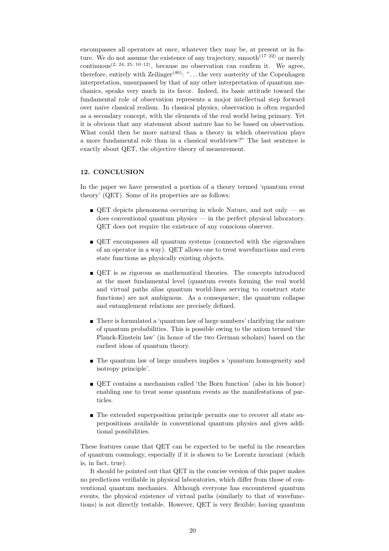encompasses all operators at once, whatever they may be, at present or in future. We do not assume the existence of any trajectory, smooth $(17-22)$  or merely continuous<sup>(2, 24, 25, 10–12)</sup>, because no observation can confirm it. We agree, therefore, entirely with Zeilinger<sup> $(46)$ </sup>: "... the very austerity of the Copenhagen interpretation, unsurpassed by that of any other interpretation of quantum mechanics, speaks very much in its favor. Indeed, its basic attitude toward the fundamental role of observation represents a major intellectual step forward over naive classical realism. In classical physics, observation is often regarded as a secondary concept, with the elements of the real world being primary. Yet it is obvious that any statement about nature has to be based on observation. What could then be more natural than a theory in which observation plays a more fundamental role than in a classical worldview?" The last sentence is exactly about QET, the objective theory of measurement.

## 12. CONCLUSION

In the paper we have presented a portion of a theory termed 'quantum event theory' (QET). Some of its properties are as follows:

- $\bullet$  QET depicts phenomena occurring in whole Nature, and not only as does conventional quantum physics — in the perfect physical laboratory. QET does not require the existence of any conscious observer.
- QET encompasses all quantum systems (connected with the eigenvalues of an operator in a way). QET allows one to treat wavefunctions and even state functions as physically existing objects.
- QET is as rigorous as mathematical theories. The concepts introduced at the most fundamental level (quantum events forming the real world and virtual paths alias quantum world-lines serving to construct state functions) are not ambiguous. As a consequence, the quantum collapse and entanglement relations are precisely defined.
- $\blacksquare$  There is formulated a 'quantum law of large numbers' clarifying the nature of quantum probabilities. This is possible owing to the axiom termed 'the Planck-Einstein law' (in honor of the two German scholars) based on the earliest ideas of quantum theory.
- The quantum law of large numbers implies a 'quantum homogeneity and isotropy principle'.
- QET contains a mechanism called 'the Born function' (also in his honor) enabling one to treat some quantum events as the manifestations of particles.
- The extended superposition principle permits one to recover all state superpositions available in conventional quantum physics and gives additional possibilities.

These features cause that QET can be expected to be useful in the researches of quantum cosmology, especially if it is shown to be Lorentz invariant (which is, in fact, true).

It should be pointed out that QET in the concise version of this paper makes no predictions verifiable in physical laboratories, which differ from those of conventional quantum mechanics. Although everyone has encountered quantum events, the physical existence of virtual paths (similarly to that of wavefunctions) is not directly testable. However, QET is very flexible; having quantum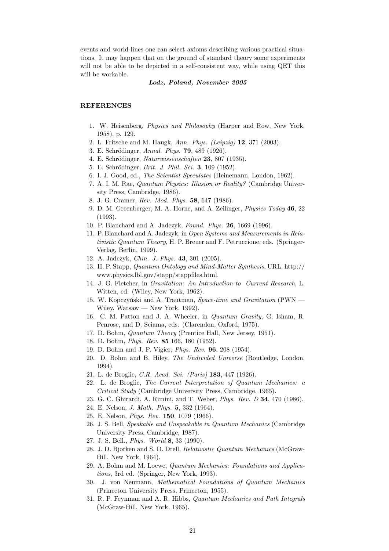events and world-lines one can select axioms describing various practical situations. It may happen that on the ground of standard theory some experiments will not be able to be depicted in a self-consistent way, while using QET this will be workable.

#### Lodz, Poland, November 2005

#### REFERENCES

- 1. W. Heisenberg, Physics and Philosophy (Harper and Row, New York, 1958), p. 129.
- 2. L. Fritsche and M. Haugk, Ann. Phys. (Leipzig) 12, 371 (2003).
- 3. E. Schrödinger, Annal. Phys. **79**, 489 (1926).
- 4. E. Schrödinger, Naturwissenschaften 23, 807 (1935).
- 5. E. Schrödinger, *Brit. J. Phil. Sci.* **3**, 109 (1952).
- 6. I. J. Good, ed., The Scientist Speculates (Heinemann, London, 1962).
- 7. A. I. M. Rae, Quantum Physics: Illusion or Reality? (Cambridge University Press, Cambridge, 1986).
- 8. J. G. Cramer, Rev. Mod. Phys. 58, 647 (1986).
- 9. D. M. Greenberger, M. A. Horne, and A. Zeilinger, Physics Today 46, 22 (1993).
- 10. P. Blanchard and A. Jadczyk, Found. Phys. 26, 1669 (1996).
- 11. P. Blanchard and A. Jadczyk, in Open Systems and Measurements in Relativistic Quantum Theory, H. P. Breuer and F. Petruccione, eds. (Springer-Verlag, Berlin, 1999).
- 12. A. Jadczyk, Chin. J. Phys. 43, 301 (2005).
- 13. H. P. Stapp, Quantum Ontology and Mind-Matter Synthesis, URL: http:// www.physics.lbl.gov/stapp/stappfiles.html.
- 14. J. G. Fletcher, in Gravitation: An Introduction to Current Research, L. Witten, ed. (Wiley, New York, 1962).
- 15. W. Kopczyński and A. Trautman, Space-time and Gravitation (PWN -Wiley, Warsaw — New York, 1992).
- 16. C. M. Patton and J. A. Wheeler, in Quantum Gravity, G. Isham, R. Penrose, and D. Sciama, eds. (Clarendon, Oxford, 1975).
- 17. D. Bohm, Quantum Theory (Prentice Hall, New Jersey, 1951).
- 18. D. Bohm, Phys. Rev. 85 166, 180 (1952).
- 19. D. Bohm and J. P. Vigier, Phys. Rev. 96, 208 (1954).
- 20. D. Bohm and B. Hiley, The Undivided Universe (Routledge, London, 1994).
- 21. L. de Broglie, C.R. Acad. Sci. (Paris) 183, 447 (1926).
- 22. L. de Broglie, The Current Interpretation of Quantum Mechanics: a Critical Study (Cambridge University Press, Cambridge, 1965).
- 23. G. C. Ghirardi, A. Rimini, and T. Weber, Phys. Rev. D 34, 470 (1986).
- 24. E. Nelson, J. Math. Phys. 5, 332 (1964).
- 25. E. Nelson, Phys. Rev. 150, 1079 (1966).
- 26. J. S. Bell, Speakable and Unspeakable in Quantum Mechanics (Cambridge University Press, Cambridge, 1987).
- 27. J. S. Bell., Phys. World 8, 33 (1990).
- 28. J. D. Bjorken and S. D. Drell, Relativistic Quantum Mechanics (McGraw-Hill, New York, 1964).
- 29. A. Bohm and M. Loewe, Quantum Mechanics: Foundations and Applications, 3rd ed. (Springer, New York, 1993).
- 30. J. von Neumann, Mathematical Foundations of Quantum Mechanics (Princeton University Press, Princeton, 1955).
- 31. R. P. Feynman and A. R. Hibbs, Quantum Mechanics and Path Integrals (McGraw-Hill, New York, 1965).